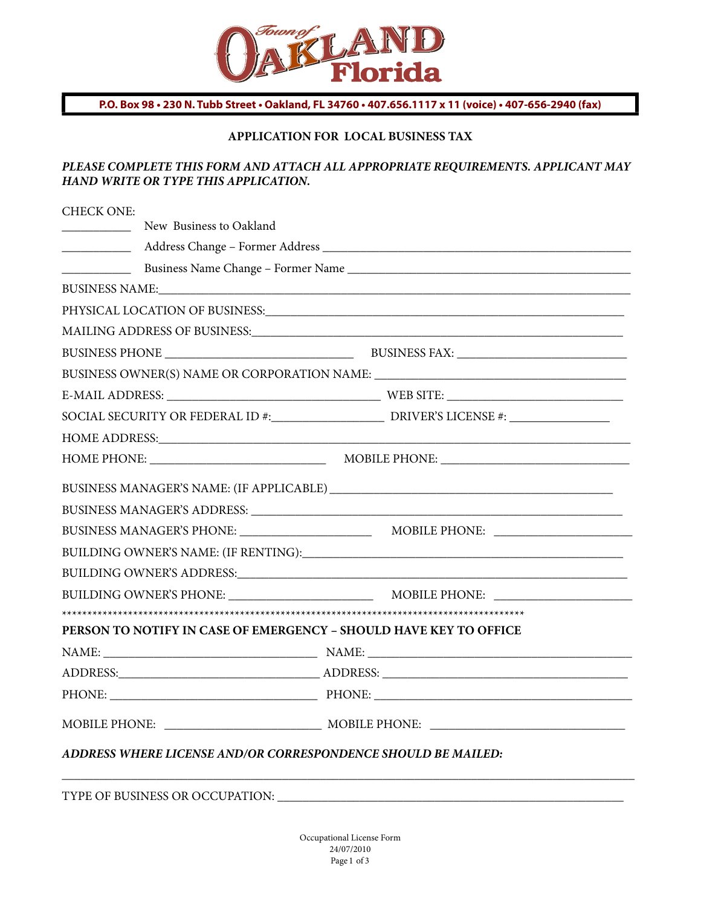

**P.O. Box 98 • 230 N. Tubb Street • Oakland, FL 34760 • 407.656.1117 x 11 (voice) • 407-656-2940 (fax)**

## **APPLICATION FOR LOCAL BUSINESS TAX**

## *PLEASE COMPLETE THIS FORM AND ATTACH ALL APPROPRIATE REQUIREMENTS. APPLICANT MAY HAND WRITE OR TYPE THIS APPLICATION.*

| <b>CHECK ONE:</b>                                                 |  |  |  |  |  |  |  |
|-------------------------------------------------------------------|--|--|--|--|--|--|--|
| New Business to Oakland                                           |  |  |  |  |  |  |  |
|                                                                   |  |  |  |  |  |  |  |
|                                                                   |  |  |  |  |  |  |  |
|                                                                   |  |  |  |  |  |  |  |
|                                                                   |  |  |  |  |  |  |  |
|                                                                   |  |  |  |  |  |  |  |
|                                                                   |  |  |  |  |  |  |  |
|                                                                   |  |  |  |  |  |  |  |
|                                                                   |  |  |  |  |  |  |  |
|                                                                   |  |  |  |  |  |  |  |
|                                                                   |  |  |  |  |  |  |  |
|                                                                   |  |  |  |  |  |  |  |
|                                                                   |  |  |  |  |  |  |  |
|                                                                   |  |  |  |  |  |  |  |
|                                                                   |  |  |  |  |  |  |  |
|                                                                   |  |  |  |  |  |  |  |
|                                                                   |  |  |  |  |  |  |  |
|                                                                   |  |  |  |  |  |  |  |
|                                                                   |  |  |  |  |  |  |  |
| PERSON TO NOTIFY IN CASE OF EMERGENCY – SHOULD HAVE KEY TO OFFICE |  |  |  |  |  |  |  |
|                                                                   |  |  |  |  |  |  |  |
|                                                                   |  |  |  |  |  |  |  |
|                                                                   |  |  |  |  |  |  |  |
|                                                                   |  |  |  |  |  |  |  |
| ADDRESS WHERE LICENSE AND/OR CORRESPONDENCE SHOULD BE MAILED:     |  |  |  |  |  |  |  |
|                                                                   |  |  |  |  |  |  |  |

TYPE OF BUSINESS OR OCCUPATION: \_\_\_\_\_\_\_\_\_\_\_\_\_\_\_\_\_\_\_\_\_\_\_\_\_\_\_\_\_\_\_\_\_\_\_\_\_\_\_\_\_\_\_\_\_\_\_\_\_\_\_\_\_\_\_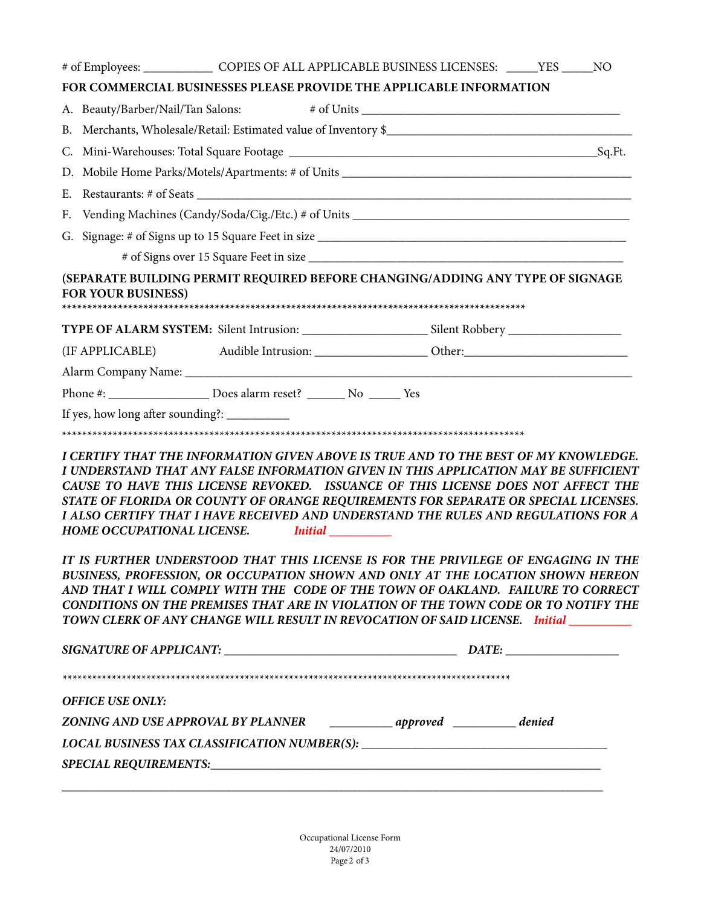| # of Employees: ___________________ COPIES OF ALL APPLICABLE BUSINESS LICENSES: ______YES ______NO                                                                                                                                                                                                                                                                                                                                                                                |  |  |  |
|-----------------------------------------------------------------------------------------------------------------------------------------------------------------------------------------------------------------------------------------------------------------------------------------------------------------------------------------------------------------------------------------------------------------------------------------------------------------------------------|--|--|--|
| FOR COMMERCIAL BUSINESSES PLEASE PROVIDE THE APPLICABLE INFORMATION                                                                                                                                                                                                                                                                                                                                                                                                               |  |  |  |
| A. Beauty/Barber/Nail/Tan Salons:                                                                                                                                                                                                                                                                                                                                                                                                                                                 |  |  |  |
|                                                                                                                                                                                                                                                                                                                                                                                                                                                                                   |  |  |  |
|                                                                                                                                                                                                                                                                                                                                                                                                                                                                                   |  |  |  |
|                                                                                                                                                                                                                                                                                                                                                                                                                                                                                   |  |  |  |
|                                                                                                                                                                                                                                                                                                                                                                                                                                                                                   |  |  |  |
| F. Vending Machines (Candy/Soda/Cig./Etc.) # of Units ___________________________                                                                                                                                                                                                                                                                                                                                                                                                 |  |  |  |
|                                                                                                                                                                                                                                                                                                                                                                                                                                                                                   |  |  |  |
|                                                                                                                                                                                                                                                                                                                                                                                                                                                                                   |  |  |  |
| (SEPARATE BUILDING PERMIT REQUIRED BEFORE CHANGING/ADDING ANY TYPE OF SIGNAGE<br><b>FOR YOUR BUSINESS)</b>                                                                                                                                                                                                                                                                                                                                                                        |  |  |  |
|                                                                                                                                                                                                                                                                                                                                                                                                                                                                                   |  |  |  |
|                                                                                                                                                                                                                                                                                                                                                                                                                                                                                   |  |  |  |
|                                                                                                                                                                                                                                                                                                                                                                                                                                                                                   |  |  |  |
|                                                                                                                                                                                                                                                                                                                                                                                                                                                                                   |  |  |  |
| Phone #: _______________________ Does alarm reset? _________ No ________ Yes                                                                                                                                                                                                                                                                                                                                                                                                      |  |  |  |
| If yes, how long after sounding?: __________                                                                                                                                                                                                                                                                                                                                                                                                                                      |  |  |  |
|                                                                                                                                                                                                                                                                                                                                                                                                                                                                                   |  |  |  |
| I CERTIFY THAT THE INFORMATION GIVEN ABOVE IS TRUE AND TO THE BEST OF MY KNOWLEDGE.<br>I UNDERSTAND THAT ANY FALSE INFORMATION GIVEN IN THIS APPLICATION MAY BE SUFFICIENT<br>CAUSE TO HAVE THIS LICENSE REVOKED. ISSUANCE OF THIS LICENSE DOES NOT AFFECT THE<br>STATE OF FLORIDA OR COUNTY OF ORANGE REQUIREMENTS FOR SEPARATE OR SPECIAL LICENSES.<br>I ALSO CERTIFY THAT I HAVE RECEIVED AND UNDERSTAND THE RULES AND REGULATIONS FOR A<br>HOME OCCUPATIONAL LICENSE. Initial |  |  |  |
| IT IS FURTHER UNDERSTOOD THAT THIS LICENSE IS FOR THE PRIVILEGE OF ENGAGING IN THE<br>BUSINESS, PROFESSION, OR OCCUPATION SHOWN AND ONLY AT THE LOCATION SHOWN HEREON<br>AND THAT I WILL COMPLY WITH THE CODE OF THE TOWN OF OAKLAND. FAILURE TO CORRECT<br>CONDITIONS ON THE PREMISES THAT ARE IN VIOLATION OF THE TOWN CODE OR TO NOTIFY THE<br>TOWN CLERK OF ANY CHANGE WILL RESULT IN REVOCATION OF SAID LICENSE. Initial ________                                            |  |  |  |
|                                                                                                                                                                                                                                                                                                                                                                                                                                                                                   |  |  |  |
|                                                                                                                                                                                                                                                                                                                                                                                                                                                                                   |  |  |  |
| <b>OFFICE USE ONLY:</b>                                                                                                                                                                                                                                                                                                                                                                                                                                                           |  |  |  |
|                                                                                                                                                                                                                                                                                                                                                                                                                                                                                   |  |  |  |
| LOCAL BUSINESS TAX CLASSIFICATION NUMBER(S): ___________________________________                                                                                                                                                                                                                                                                                                                                                                                                  |  |  |  |

Occupational License Form 24/07/2010 Page 2 of 3